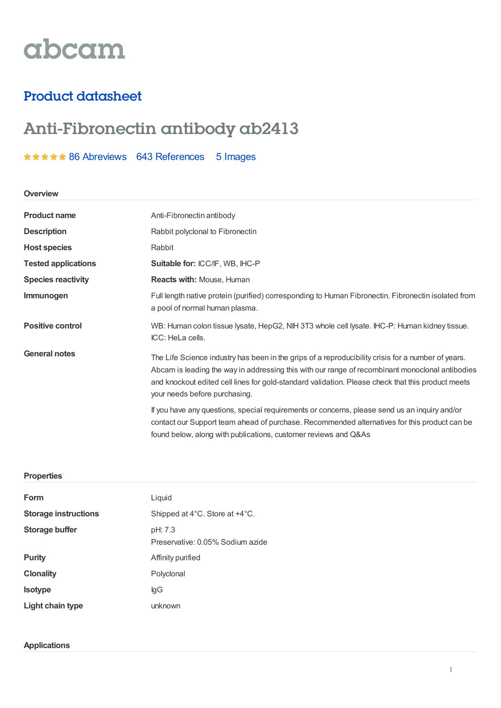# abcam

# Product datasheet

# Anti-Fibronectin antibody ab2413

## \*\*\*\*\* 86 [Abreviews](https://www.abcam.com/fibronectin-antibody-ab2413.html?productWallTab=Abreviews) 643 [References](https://www.abcam.com/fibronectin-antibody-ab2413.html#description_references) 5 Images

#### **Overview**

| <b>Product name</b>        | Anti-Fibronectin antibody                                                                                                                                                                                                                                                                                                                   |  |
|----------------------------|---------------------------------------------------------------------------------------------------------------------------------------------------------------------------------------------------------------------------------------------------------------------------------------------------------------------------------------------|--|
| <b>Description</b>         | Rabbit polyclonal to Fibronectin                                                                                                                                                                                                                                                                                                            |  |
| <b>Host species</b>        | Rabbit                                                                                                                                                                                                                                                                                                                                      |  |
| <b>Tested applications</b> | Suitable for: ICC/IF, WB, IHC-P                                                                                                                                                                                                                                                                                                             |  |
| <b>Species reactivity</b>  | <b>Reacts with: Mouse, Human</b>                                                                                                                                                                                                                                                                                                            |  |
| <b>Immunogen</b>           | Full length native protein (purified) corresponding to Human Fibronectin. Fibronectin isolated from<br>a pool of normal human plasma.                                                                                                                                                                                                       |  |
| <b>Positive control</b>    | WB: Human colon tissue lysate, HepG2, NIH 3T3 whole cell lysate. IHC-P: Human kidney tissue.<br>ICC: HeLa cells.                                                                                                                                                                                                                            |  |
| <b>General notes</b>       | The Life Science industry has been in the grips of a reproducibility crisis for a number of years.<br>Abcam is leading the way in addressing this with our range of recombinant monoclonal antibodies<br>and knockout edited cell lines for gold-standard validation. Please check that this product meets<br>your needs before purchasing. |  |
|                            | If you have any questions, special requirements or concerns, please send us an inquiry and/or<br>contact our Support team ahead of purchase. Recommended alternatives for this product can be<br>found below, along with publications, customer reviews and Q&As                                                                            |  |

#### **Properties**

| Form                        | Liquid                                      |  |  |
|-----------------------------|---------------------------------------------|--|--|
| <b>Storage instructions</b> | Shipped at 4°C. Store at +4°C.              |  |  |
| Storage buffer              | pH: 7.3<br>Preservative: 0.05% Sodium azide |  |  |
| <b>Purity</b>               | Affinity purified                           |  |  |
| <b>Clonality</b>            | Polyclonal                                  |  |  |
| <b>Isotype</b>              | lgG                                         |  |  |
| Light chain type            | unknown                                     |  |  |

### **Applications**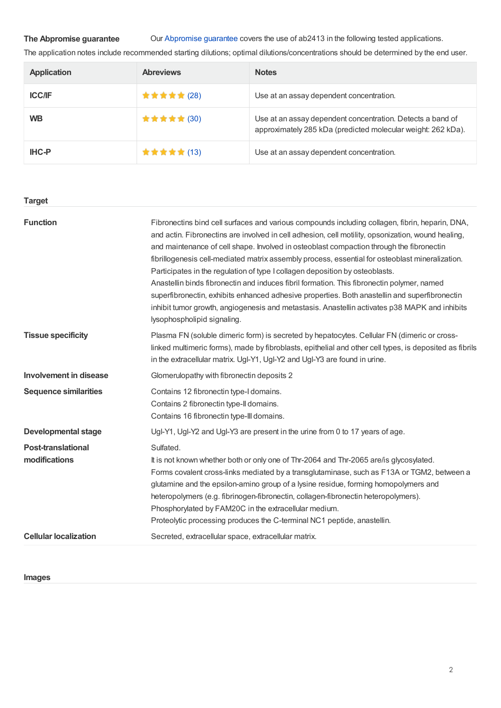#### **The Abpromise guarantee**

Our [Abpromise](https://www.abcam.com/abpromise) guarantee covers the use of ab2413 in the following tested applications.

The application notes include recommended starting dilutions; optimal dilutions/concentrations should be determined by the end user.

| Application   | <b>Abreviews</b> | <b>Notes</b>                                                                                                               |
|---------------|------------------|----------------------------------------------------------------------------------------------------------------------------|
| <b>ICC/IF</b> | ★ ★ ★ ★ ★ (28)   | Use at an assay dependent concentration.                                                                                   |
| <b>WB</b>     | ★ ★ ★ ★ ★ (30)   | Use at an assay dependent concentration. Detects a band of<br>approximately 285 kDa (predicted molecular weight: 262 kDa). |
| <b>IHC-P</b>  | ★ ★ ★ ★ ★ (13)   | Use at an assay dependent concentration.                                                                                   |

## **Function** Fibronectins bind cell surfaces and various compounds including collagen, fibrin, heparin, DNA, and actin. Fibronectins are involved in cell adhesion, cell motility, opsonization, wound healing, and maintenance of cell shape. Involved in osteoblast compaction through the fibronectin fibrillogenesis cell-mediated matrix assembly process, essential for osteoblast mineralization. Participates in the regulation of type I collagen deposition by osteoblasts. Anastellin binds fibronectin and induces fibril formation. This fibronectin polymer, named superfibronectin, exhibits enhanced adhesive properties. Both anastellin and superfibronectin inhibit tumor growth, angiogenesis and metastasis. Anastellin activates p38 MAPK and inhibits lysophospholipid signaling. **Tissue specificity** Plasma FN (soluble dimeric form) is secreted by hepatocytes. Cellular FN (dimeric or crosslinked multimeric forms), made by fibroblasts, epithelial and other cell types, is deposited as fibrils in the extracellular matrix. Ugl-Y1, Ugl-Y2 and Ugl-Y3 are found in urine. **Involvement in disease** Glomerulopathy with fibronectin deposits 2 **Sequence similarities** Contains 12 fibronectin type-I domains. Contains 2 fibronectin type-II domains. Contains 16 fibronectin type-III domains. **Developmental stage** Ugl-Y1, Ugl-Y2 and Ugl-Y3 are present in the urine from 0 to 17 years of age. **Post-translational modifications** Sulfated. It is not known whether both or only one of Thr-2064 and Thr-2065 are/is glycosylated. Forms covalent cross-links mediated by a transglutaminase, such as F13A or TGM2, between a glutamine and the epsilon-amino group of a lysine residue, forming homopolymers and heteropolymers (e.g. fibrinogen-fibronectin, collagen-fibronectin heteropolymers). Phosphorylated by FAM20C in the extracellular medium. Proteolytic processing produces the C-terminal NC1 peptide, anastellin. **Cellular localization** Secreted, extracellular space, extracellular matrix. **Target**

#### **Images**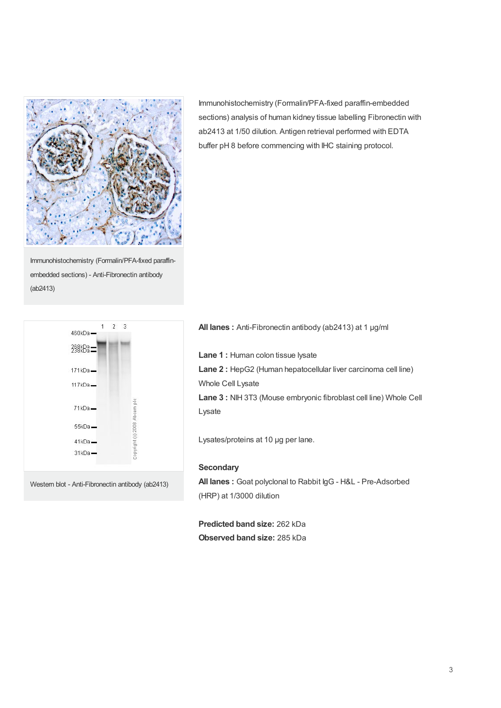

Immunohistochemistry (Formalin/PFA-fixed paraffinembedded sections) - Anti-Fibronectin antibody (ab2413)

 $\overline{2}$  $\mathbf{1}$  $\overline{3}$ 460kDa-398KBa=  $171kDa$  $117kDa$ Copyright (c) 2008 Abcam plc  $71kDa$ 55kDa- $41kDa$  $31kDa -$ 

Western blot - Anti-Fibronectin antibody (ab2413)

Immunohistochemistry (Formalin/PFA-fixed paraffin-embedded sections) analysis of human kidney tissue labelling Fibronectin with ab2413 at 1/50 dilution. Antigen retrieval performed with EDTA buffer pH 8 before commencing with IHC staining protocol.

**All lanes :** Anti-Fibronectin antibody (ab2413) at 1 µg/ml

**Lane 1 :** Human colon tissue lysate **Lane 2 :** HepG2 (Human hepatocellular liver carcinoma cell line) Whole Cell Lysate **Lane 3 :** NIH 3T3 (Mouse embryonic fibroblast cell line) Whole Cell Lysate

Lysates/proteins at 10 µg per lane.

#### **Secondary**

**All lanes :** Goat polyclonal to Rabbit IgG - H&L - Pre-Adsorbed (HRP) at 1/3000 dilution

**Predicted band size:** 262 kDa **Observed band size:** 285 kDa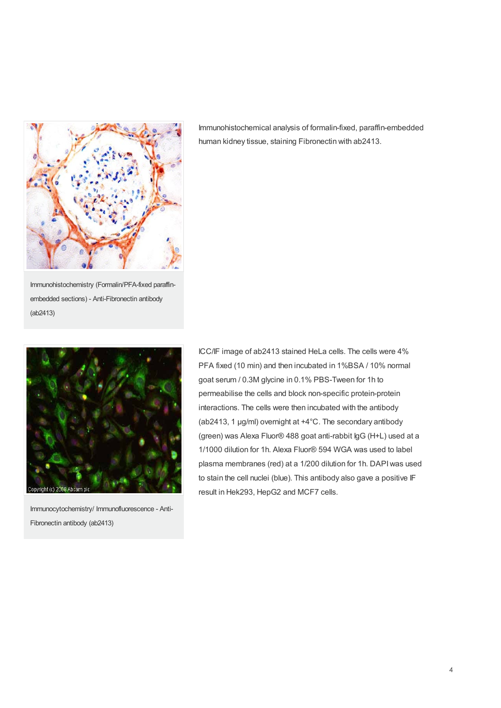

Immunohistochemistry (Formalin/PFA-fixed paraffinembedded sections) - Anti-Fibronectin antibody (ab2413)

Immunohistochemical analysis of formalin-fixed, paraffin-embedded human kidney tissue, staining Fibronectin with ab2413.



Immunocytochemistry/ Immunofluorescence - Anti-Fibronectin antibody (ab2413)

ICC/IF image of ab2413 stained HeLa cells. The cells were 4% PFA fixed (10 min) and then incubated in 1%BSA / 10% normal goat serum / 0.3M glycine in 0.1% PBS-Tween for 1h to permeabilise the cells and block non-specific protein-protein interactions. The cells were then incubated with the antibody (ab2413, 1 µg/ml) overnight at +4°C. The secondary antibody (green) was Alexa Fluor® 488 goat anti-rabbit IgG (H+L) used at a 1/1000 dilution for 1h. Alexa Fluor® 594 WGA was used to label plasma membranes (red) at a 1/200 dilution for 1h. DAPIwas used to stain the cell nuclei (blue). This antibody also gave a positive IF result in Hek293, HepG2 and MCF7 cells.